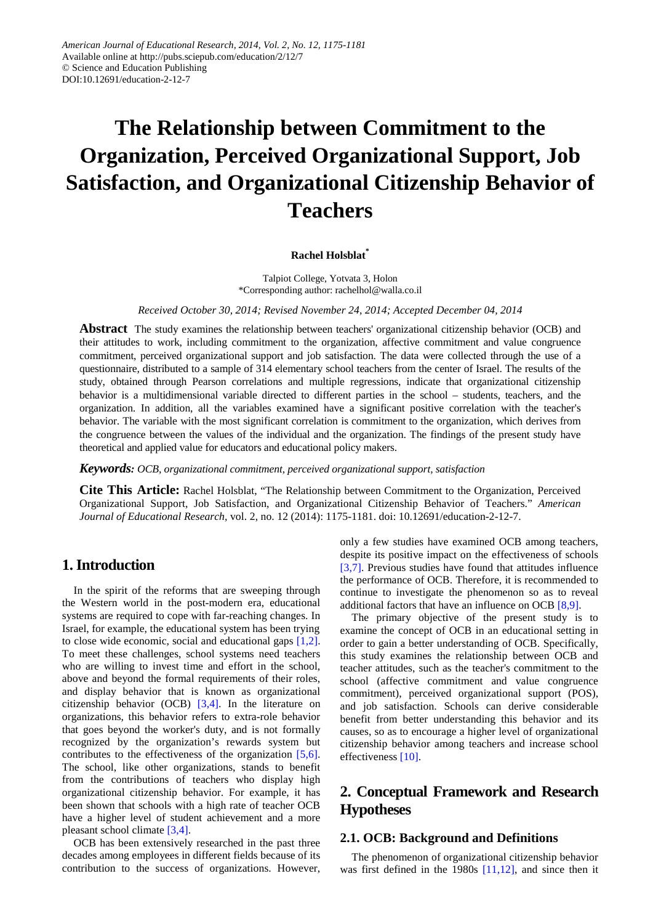# **The Relationship between Commitment to the Organization, Perceived Organizational Support, Job Satisfaction, and Organizational Citizenship Behavior of Teachers**

#### **Rachel Holsblat\***

Talpiot College, Yotvata 3, Holon \*Corresponding author: rachelhol@walla.co.il

*Received October 30, 2014; Revised November 24, 2014; Accepted December 04, 2014*

**Abstract** The study examines the relationship between teachers' organizational citizenship behavior (OCB) and their attitudes to work, including commitment to the organization, affective commitment and value congruence commitment, perceived organizational support and job satisfaction. The data were collected through the use of a questionnaire, distributed to a sample of 314 elementary school teachers from the center of Israel. The results of the study, obtained through Pearson correlations and multiple regressions, indicate that organizational citizenship behavior is a multidimensional variable directed to different parties in the school – students, teachers, and the organization. In addition, all the variables examined have a significant positive correlation with the teacher's behavior. The variable with the most significant correlation is commitment to the organization, which derives from the congruence between the values of the individual and the organization. The findings of the present study have theoretical and applied value for educators and educational policy makers.

*Keywords: OCB, organizational commitment, perceived organizational support, satisfaction*

**Cite This Article:** Rachel Holsblat, "The Relationship between Commitment to the Organization, Perceived Organizational Support, Job Satisfaction, and Organizational Citizenship Behavior of Teachers." *American Journal of Educational Research*, vol. 2, no. 12 (2014): 1175-1181. doi: 10.12691/education-2-12-7.

## **1. Introduction**

In the spirit of the reforms that are sweeping through the Western world in the post-modern era, educational systems are required to cope with far-reaching changes. In Israel, for example, the educational system has been trying to close wide economic, social and educational gaps [\[1,2\].](#page-5-0) To meet these challenges, school systems need teachers who are willing to invest time and effort in the school, above and beyond the formal requirements of their roles, and display behavior that is known as organizational citizenship behavior (OCB) [\[3,4\].](#page-5-1) In the literature on organizations, this behavior refers to extra-role behavior that goes beyond the worker's duty, and is not formally recognized by the organization's rewards system but contributes to the effectiveness of the organization [\[5,6\].](#page-5-2) The school, like other organizations, stands to benefit from the contributions of teachers who display high organizational citizenship behavior. For example, it has been shown that schools with a high rate of teacher OCB have a higher level of student achievement and a more pleasant school climate [\[3,4\].](#page-5-1)

OCB has been extensively researched in the past three decades among employees in different fields because of its contribution to the success of organizations. However, only a few studies have examined OCB among teachers, despite its positive impact on the effectiveness of schools [\[3,7\].](#page-5-1) Previous studies have found that attitudes influence the performance of OCB. Therefore, it is recommended to continue to investigate the phenomenon so as to reveal additional factors that have an influence on OCB [\[8,9\].](#page-5-3)

The primary objective of the present study is to examine the concept of OCB in an educational setting in order to gain a better understanding of OCB. Specifically, this study examines the relationship between OCB and teacher attitudes, such as the teacher's commitment to the school (affective commitment and value congruence commitment), perceived organizational support (POS), and job satisfaction. Schools can derive considerable benefit from better understanding this behavior and its causes, so as to encourage a higher level of organizational citizenship behavior among teachers and increase school effectiveness [\[10\].](#page-5-4)

# **2. Conceptual Framework and Research Hypotheses**

### **2.1. OCB: Background and Definitions**

The phenomenon of organizational citizenship behavior was first defined in the 1980s [\[11,12\],](#page-5-5) and since then it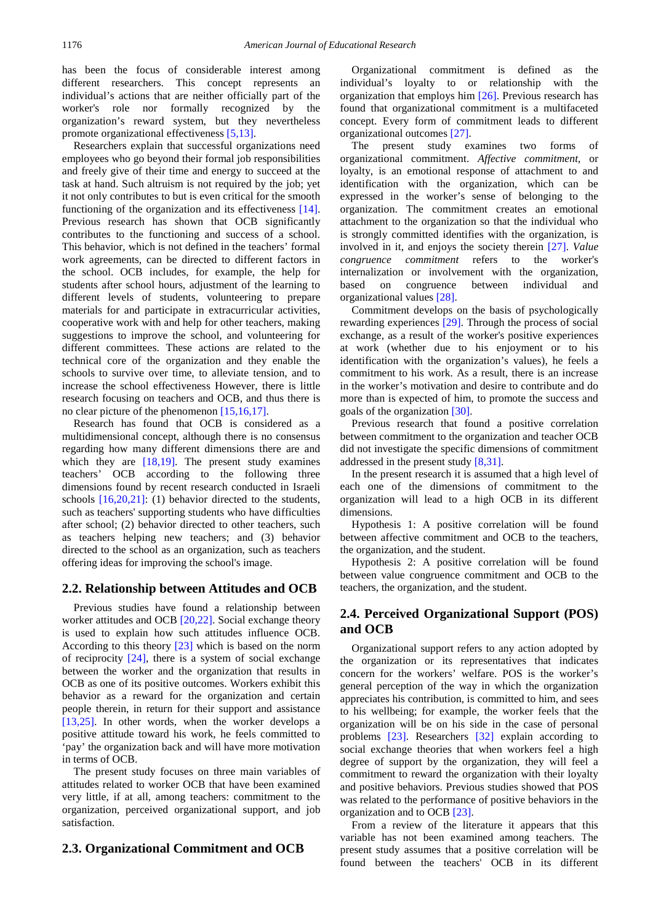has been the focus of considerable interest among different researchers. This concept represents an individual's actions that are neither officially part of the worker's role nor formally recognized by the organization's reward system, but they nevertheless promote organizational effectiveness [\[5,13\].](#page-5-2)

Researchers explain that successful organizations need employees who go beyond their formal job responsibilities and freely give of their time and energy to succeed at the task at hand. Such altruism is not required by the job; yet it not only contributes to but is even critical for the smooth functioning of the organization and its effectiveness [\[14\].](#page-5-6) Previous research has shown that OCB significantly contributes to the functioning and success of a school. This behavior, which is not defined in the teachers' formal work agreements, can be directed to different factors in the school. OCB includes, for example, the help for students after school hours, adjustment of the learning to different levels of students, volunteering to prepare materials for and participate in extracurricular activities, cooperative work with and help for other teachers, making suggestions to improve the school, and volunteering for different committees. These actions are related to the technical core of the organization and they enable the schools to survive over time, to alleviate tension, and to increase the school effectiveness However, there is little research focusing on teachers and OCB, and thus there is no clear picture of the phenomenon [\[15,16,17\].](#page-5-7)

Research has found that OCB is considered as a multidimensional concept, although there is no consensus regarding how many different dimensions there are and which they are  $[18,19]$ . The present study examines teachers' OCB according to the following three dimensions found by recent research conducted in Israeli schools [\[16,20,21\]:](#page-5-9) (1) behavior directed to the students, such as teachers' supporting students who have difficulties after school; (2) behavior directed to other teachers, such as teachers helping new teachers; and (3) behavior directed to the school as an organization, such as teachers offering ideas for improving the school's image.

#### **2.2. Relationship between Attitudes and OCB**

Previous studies have found a relationship between worker attitudes and OCB [\[20,22\].](#page-6-0) Social exchange theory is used to explain how such attitudes influence OCB. According to this theory [\[23\]](#page-6-1) which is based on the norm of reciprocity [\[24\],](#page-6-2) there is a system of social exchange between the worker and the organization that results in OCB as one of its positive outcomes. Workers exhibit this behavior as a reward for the organization and certain people therein, in return for their support and assistance [\[13,25\].](#page-5-10) In other words, when the worker develops a positive attitude toward his work, he feels committed to 'pay' the organization back and will have more motivation in terms of OCB.

The present study focuses on three main variables of attitudes related to worker OCB that have been examined very little, if at all, among teachers: commitment to the organization, perceived organizational support, and job satisfaction.

#### **2.3. Organizational Commitment and OCB**

Organizational commitment is defined as individual's loyalty to or relationship with the organization that employs him [\[26\].](#page-6-3) Previous research has found that organizational commitment is a multifaceted concept. Every form of commitment leads to different organizational outcome[s \[27\].](#page-6-4)

The present study examines two forms of organizational commitment. *Affective commitment*, or loyalty, is an emotional response of attachment to and identification with the organization, which can be expressed in the worker's sense of belonging to the organization. The commitment creates an emotional attachment to the organization so that the individual who is strongly committed identifies with the organization, is involved in it, and enjoys the society therein [\[27\].](#page-6-4) *Value congruence commitment* refers to the worker's internalization or involvement with the organization, based on congruence between individual and organizational values [\[28\].](#page-6-5)

Commitment develops on the basis of psychologically rewarding experiences [\[29\].](#page-6-6) Through the process of social exchange, as a result of the worker's positive experiences at work (whether due to his enjoyment or to his identification with the organization's values), he feels a commitment to his work. As a result, there is an increase in the worker's motivation and desire to contribute and do more than is expected of him, to promote the success and goals of the organization [\[30\].](#page-6-7)

Previous research that found a positive correlation between commitment to the organization and teacher OCB did not investigate the specific dimensions of commitment addressed in the present stud[y \[8,31\].](#page-5-3)

In the present research it is assumed that a high level of each one of the dimensions of commitment to the organization will lead to a high OCB in its different dimensions.

Hypothesis 1: A positive correlation will be found between affective commitment and OCB to the teachers, the organization, and the student.

Hypothesis 2: A positive correlation will be found between value congruence commitment and OCB to the teachers, the organization, and the student.

## **2.4. Perceived Organizational Support (POS) and OCB**

Organizational support refers to any action adopted by the organization or its representatives that indicates concern for the workers' welfare. POS is the worker's general perception of the way in which the organization appreciates his contribution, is committed to him, and sees to his wellbeing; for example, the worker feels that the organization will be on his side in the case of personal problems [\[23\].](#page-6-1) Researchers [\[32\]](#page-6-8) explain according to social exchange theories that when workers feel a high degree of support by the organization, they will feel a commitment to reward the organization with their loyalty and positive behaviors. Previous studies showed that POS was related to the performance of positive behaviors in the organization and to OCB [\[23\].](#page-6-1)

From a review of the literature it appears that this variable has not been examined among teachers. The present study assumes that a positive correlation will be found between the teachers' OCB in its different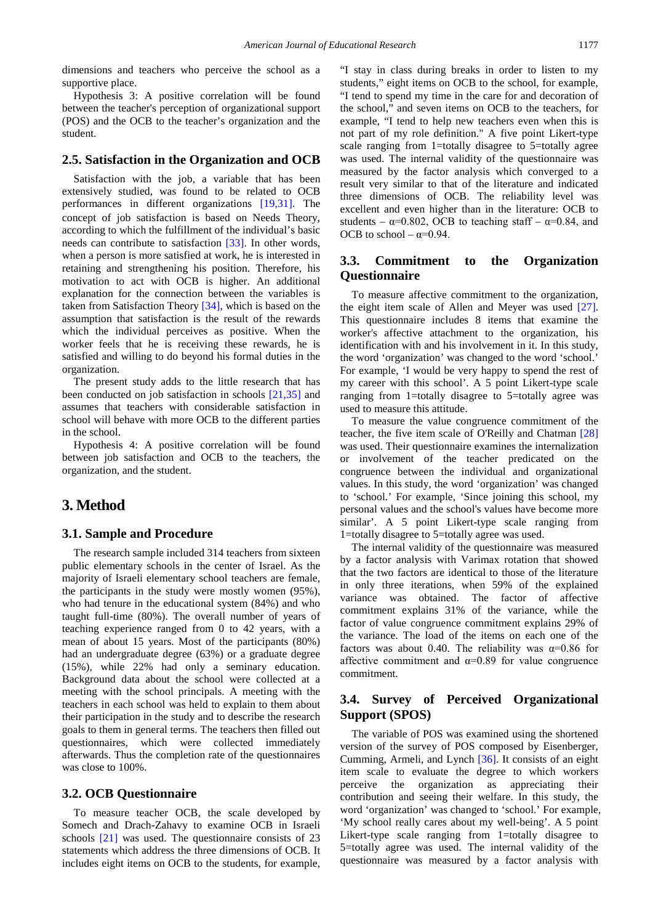dimensions and teachers who perceive the school as a supportive place.

Hypothesis 3: A positive correlation will be found between the teacher's perception of organizational support (POS) and the OCB to the teacher's organization and the student.

#### **2.5. Satisfaction in the Organization and OCB**

Satisfaction with the job, a variable that has been extensively studied, was found to be related to OCB performances in different organizations [\[19,31\].](#page-5-11) The concept of job satisfaction is based on Needs Theory, according to which the fulfillment of the individual's basic needs can contribute to satisfaction [\[33\].](#page-6-9) In other words, when a person is more satisfied at work, he is interested in retaining and strengthening his position. Therefore, his motivation to act with OCB is higher. An additional explanation for the connection between the variables is taken from Satisfaction Theory [\[34\],](#page-6-10) which is based on the assumption that satisfaction is the result of the rewards which the individual perceives as positive. When the worker feels that he is receiving these rewards, he is satisfied and willing to do beyond his formal duties in the organization.

The present study adds to the little research that has been conducted on job satisfaction in schools [\[21,35\]](#page-6-11) and assumes that teachers with considerable satisfaction in school will behave with more OCB to the different parties in the school.

Hypothesis 4: A positive correlation will be found between job satisfaction and OCB to the teachers, the organization, and the student.

## **3. Method**

#### **3.1. Sample and Procedure**

The research sample included 314 teachers from sixteen public elementary schools in the center of Israel. As the majority of Israeli elementary school teachers are female, the participants in the study were mostly women (95%), who had tenure in the educational system (84%) and who taught full-time (80%). The overall number of years of teaching experience ranged from 0 to 42 years, with a mean of about 15 years. Most of the participants (80%) had an undergraduate degree (63%) or a graduate degree (15%), while 22% had only a seminary education. Background data about the school were collected at a meeting with the school principals. A meeting with the teachers in each school was held to explain to them about their participation in the study and to describe the research goals to them in general terms. The teachers then filled out questionnaires, which were collected immediately afterwards. Thus the completion rate of the questionnaires was close to 100%.

## **3.2. OCB Questionnaire**

To measure teacher OCB, the scale developed by Somech and Drach-Zahavy to examine OCB in Israeli schools [\[21\]](#page-6-11) was used. The questionnaire consists of 23 statements which address the three dimensions of OCB. It includes eight items on OCB to the students, for example,

"I stay in class during breaks in order to listen to my students," eight items on OCB to the school, for example, "I tend to spend my time in the care for and decoration of the school," and seven items on OCB to the teachers, for example, "I tend to help new teachers even when this is not part of my role definition." A five point Likert-type scale ranging from 1=totally disagree to 5=totally agree was used. The internal validity of the questionnaire was measured by the factor analysis which converged to a result very similar to that of the literature and indicated three dimensions of OCB. The reliability level was excellent and even higher than in the literature: OCB to students –  $\alpha$ =0.802, OCB to teaching staff –  $\alpha$ =0.84, and OCB to school –  $\alpha=0.94$ .

## **3.3. Commitment to the Organization Questionnaire**

To measure affective commitment to the organization, the eight item scale of Allen and Meyer was used [\[27\].](#page-6-4) This questionnaire includes 8 items that examine the worker's affective attachment to the organization, his identification with and his involvement in it. In this study, the word 'organization' was changed to the word 'school.' For example, 'I would be very happy to spend the rest of my career with this school'. A 5 point Likert-type scale ranging from 1=totally disagree to 5=totally agree was used to measure this attitude.

To measure the value congruence commitment of the teacher, the five item scale of O'Reilly and Chatman [\[28\]](#page-6-5) was used. Their questionnaire examines the internalization or involvement of the teacher predicated on the congruence between the individual and organizational values. In this study, the word 'organization' was changed to 'school.' For example, 'Since joining this school, my personal values and the school's values have become more similar'. A 5 point Likert-type scale ranging from 1=totally disagree to 5=totally agree was used.

The internal validity of the questionnaire was measured by a factor analysis with Varimax rotation that showed that the two factors are identical to those of the literature in only three iterations, when 59% of the explained variance was obtained. The factor of affective commitment explains 31% of the variance, while the factor of value congruence commitment explains 29% of the variance. The load of the items on each one of the factors was about 0.40. The reliability was  $\alpha$ =0.86 for affective commitment and  $\alpha$ =0.89 for value congruence commitment.

## **3.4. Survey of Perceived Organizational Support (SPOS)**

The variable of POS was examined using the shortened version of the survey of POS composed by Eisenberger, Cumming, Armeli, and Lynch [\[36\].](#page-6-12) It consists of an eight item scale to evaluate the degree to which workers perceive the organization as appreciating their contribution and seeing their welfare. In this study, the word 'organization' was changed to 'school.' For example, 'My school really cares about my well-being'. A 5 point Likert-type scale ranging from 1=totally disagree to 5=totally agree was used. The internal validity of the questionnaire was measured by a factor analysis with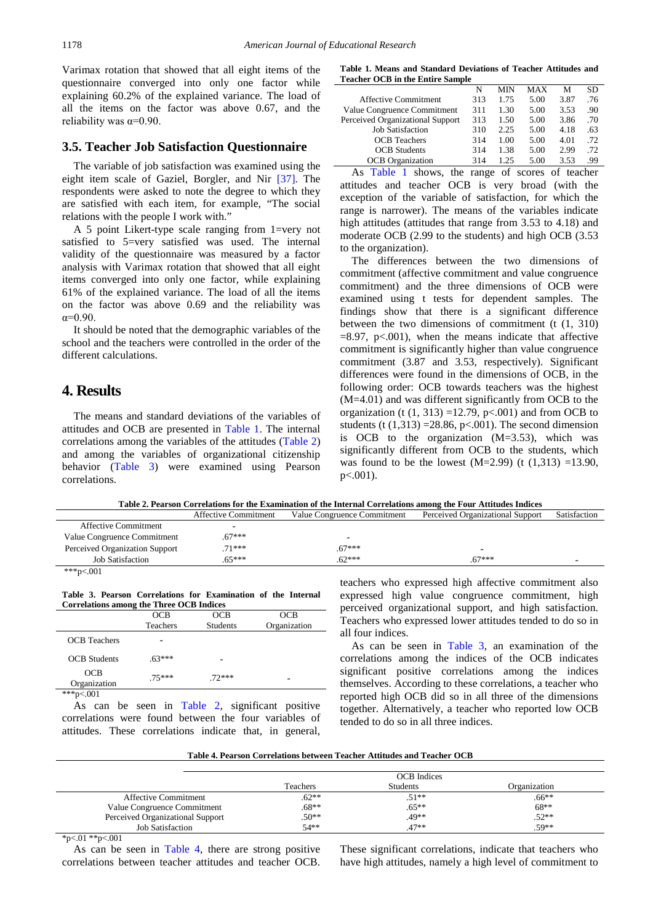Varimax rotation that showed that all eight items of the questionnaire converged into only one factor while explaining 60.2% of the explained variance. The load of all the items on the factor was above 0.67, and the reliability was  $\alpha = 0.90$ .

#### **3.5. Teacher Job Satisfaction Questionnaire**

The variable of job satisfaction was examined using the eight item scale of Gaziel, Borgler, and Nir [\[37\].](#page-6-13) The respondents were asked to note the degree to which they are satisfied with each item, for example, "The social relations with the people I work with."

A 5 point Likert-type scale ranging from 1=very not satisfied to 5=very satisfied was used. The internal validity of the questionnaire was measured by a factor analysis with Varimax rotation that showed that all eight items converged into only one factor, while explaining 61% of the explained variance. The load of all the items on the factor was above 0.69 and the reliability was α=0.90.

It should be noted that the demographic variables of the school and the teachers were controlled in the order of the different calculations.

## **4. Results**

The means and standard deviations of the variables of attitudes and OCB are presented in [Table 1.](#page-3-0) The internal correlations among the variables of the attitudes [\(Table 2\)](#page-3-1) and among the variables of organizational citizenship behavior [\(Table 3\)](#page-3-2) were examined using Pearson correlations.

|  |                                         | Table 1. Means and Standard Deviations of Teacher Attitudes and |  |  |
|--|-----------------------------------------|-----------------------------------------------------------------|--|--|
|  | <b>Teacher OCB in the Entire Sample</b> |                                                                 |  |  |

<span id="page-3-0"></span>

|                                  | N   | MIN  | MAX                                                                                                                                                                                                                                                                                                                              | М    | <b>SD</b> |
|----------------------------------|-----|------|----------------------------------------------------------------------------------------------------------------------------------------------------------------------------------------------------------------------------------------------------------------------------------------------------------------------------------|------|-----------|
| <b>Affective Commitment</b>      | 313 | 1.75 | 5.00                                                                                                                                                                                                                                                                                                                             | 3.87 | .76       |
| Value Congruence Commitment      | 311 | 1.30 | 5.00                                                                                                                                                                                                                                                                                                                             | 3.53 | .90       |
| Perceived Organizational Support | 313 | 1.50 | 5.00                                                                                                                                                                                                                                                                                                                             | 3.86 | .70       |
| <b>Job Satisfaction</b>          | 310 | 2.25 | 5.00                                                                                                                                                                                                                                                                                                                             | 4.18 | .63       |
| <b>OCB</b> Teachers              | 314 | 1.00 | 5.00                                                                                                                                                                                                                                                                                                                             | 4.01 | .72       |
| <b>OCB</b> Students              | 314 | 1.38 | 5.00                                                                                                                                                                                                                                                                                                                             | 2.99 | .72       |
| <b>OCB</b> Organization          | 314 | 1.25 | 5.00                                                                                                                                                                                                                                                                                                                             | 3.53 | .99       |
| $T = 11$ $T = 1$                 |     |      | $\alpha$ and $\alpha$ and $\alpha$ and $\alpha$ and $\alpha$ and $\alpha$ and $\alpha$ and $\alpha$ and $\alpha$ and $\alpha$ and $\alpha$ and $\alpha$ and $\alpha$ and $\alpha$ and $\alpha$ and $\alpha$ and $\alpha$ and $\alpha$ and $\alpha$ and $\alpha$ and $\alpha$ and $\alpha$ and $\alpha$ and $\alpha$ and $\alpha$ |      |           |

As [Table 1](#page-3-0) shows, the range of scores of teacher attitudes and teacher OCB is very broad (with the exception of the variable of satisfaction, for which the range is narrower). The means of the variables indicate high attitudes (attitudes that range from 3.53 to 4.18) and moderate OCB (2.99 to the students) and high OCB (3.53 to the organization).

The differences between the two dimensions of commitment (affective commitment and value congruence commitment) and the three dimensions of OCB were examined using t tests for dependent samples. The findings show that there is a significant difference between the two dimensions of commitment (t (1, 310)  $=8.97$ , p $< 0.001$ ), when the means indicate that affective commitment is significantly higher than value congruence commitment (3.87 and 3.53, respectively). Significant differences were found in the dimensions of OCB, in the following order: OCB towards teachers was the highest (M=4.01) and was different significantly from OCB to the organization (t  $(1, 313)$  =12.79, p<.001) and from OCB to students (t  $(1,313)$  =28.86, p<.001). The second dimension is OCB to the organization (M=3.53), which was significantly different from OCB to the students, which was found to be the lowest  $(M=2.99)$  (t  $(1,313) = 13.90$ , p<.001).

**Table 2. Pearson Correlations for the Examination of the Internal Correlations among the Four Attitudes Indices**

<span id="page-3-1"></span>

|                                | <b>Affective Commitment</b> | Value Congruence Commitment | Perceived Organizational Support | Satisfaction |
|--------------------------------|-----------------------------|-----------------------------|----------------------------------|--------------|
| <b>Affective Commitment</b>    |                             |                             |                                  |              |
| Value Congruence Commitment    | $67***$                     |                             |                                  |              |
| Perceived Organization Support | $71***$                     | $67***$                     |                                  |              |
| <b>Job Satisfaction</b>        | $65***$                     | $62***$                     | $67***$                          | -            |
| ***p<.001                      |                             |                             |                                  |              |

**Table 3. Pearson Correlations for Examination of the Internal Correlations among the Three OCB Indices**

<span id="page-3-2"></span>

|                     | . .        |            |              |
|---------------------|------------|------------|--------------|
|                     | <b>OCB</b> | <b>OCB</b> | <b>OCB</b>   |
|                     | Teachers   | Students   | Organization |
| <b>OCB</b> Teachers |            |            |              |
| <b>OCB</b> Students | $.63***$   |            |              |
| OCB<br>Organization | $75***$    | $72***$    |              |
| ***p<.001           |            |            |              |

As can be seen in [Table 2,](#page-3-1) significant positive correlations were found between the four variables of attitudes. These correlations indicate that, in general, teachers who expressed high affective commitment also expressed high value congruence commitment, high perceived organizational support, and high satisfaction. Teachers who expressed lower attitudes tended to do so in all four indices.

As can be seen in [Table 3,](#page-3-2) an examination of the correlations among the indices of the OCB indicates significant positive correlations among the indices themselves. According to these correlations, a teacher who reported high OCB did so in all three of the dimensions together. Alternatively, a teacher who reported low OCB tended to do so in all three indices.

| Table 4. Pearson Correlations between Teacher Attitudes and Teacher OCB |  |
|-------------------------------------------------------------------------|--|
|-------------------------------------------------------------------------|--|

<span id="page-3-3"></span>

|                                  |          | <b>OCB</b> Indices |              |
|----------------------------------|----------|--------------------|--------------|
|                                  | Teachers | <b>Students</b>    | Organization |
| <b>Affective Commitment</b>      | $.62**$  | $.51**$            | .66**        |
| Value Congruence Commitment      | $.68**$  | $.65***$           | $68**$       |
| Perceived Organizational Support | $.50**$  | .49**              | $.52**$      |
| <b>Job Satisfaction</b>          | $54**$   | $.47**$            | $.59**$      |

 $*_{p<.01} *_{p<.001}$ 

As can be seen in [Table 4,](#page-3-3) there are strong positive correlations between teacher attitudes and teacher OCB.

These significant correlations, indicate that teachers who have high attitudes, namely a high level of commitment to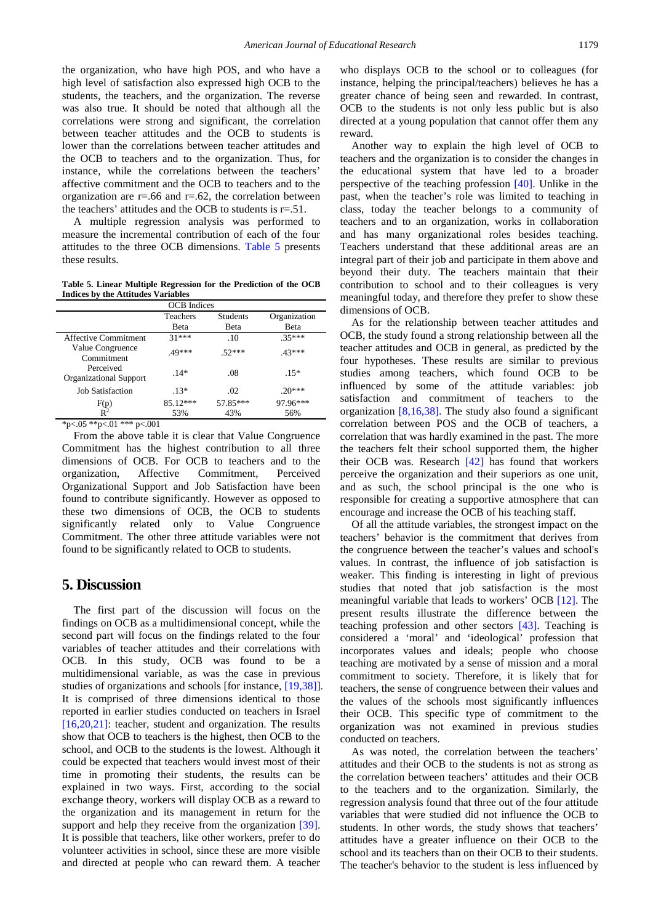the organization, who have high POS, and who have a high level of satisfaction also expressed high OCB to the students, the teachers, and the organization. The reverse was also true. It should be noted that although all the correlations were strong and significant, the correlation between teacher attitudes and the OCB to students is lower than the correlations between teacher attitudes and the OCB to teachers and to the organization. Thus, for instance, while the correlations between the teachers' affective commitment and the OCB to teachers and to the organization are  $r = .66$  and  $r = .62$ , the correlation between the teachers' attitudes and the OCB to students is  $r = .51$ .

A multiple regression analysis was performed to measure the incremental contribution of each of the four attitudes to the three OCB dimensions. [Table 5](#page-4-0) presents these results.

**Table 5. Linear Multiple Regression for the Prediction of the OCB Indices by the Attitudes Variables**

<span id="page-4-0"></span>

|                                            | <b>OCB</b> Indices |                 |              |  |
|--------------------------------------------|--------------------|-----------------|--------------|--|
|                                            | Teachers           | <b>Students</b> | Organization |  |
|                                            | <b>B</b> eta       | Beta            | Beta         |  |
| Affective Commitment                       | $31***$            | .10             | $35***$      |  |
| Value Congruence<br>Commitment             | $49***$            | $.52***$        | $.43***$     |  |
| Perceived<br><b>Organizational Support</b> | $.14*$             | .08             | $.15*$       |  |
| <b>Job Satisfaction</b>                    | $.13*$             | .02             | $.20***$     |  |
| $F(p)$<br>$R^2$                            | 85.12***           | 57.85***        | 97.96***     |  |
|                                            | 53%                | 43%             | 56%          |  |

\*p<.05 \*\*p<.01 \*\*\* p<.001

From the above table it is clear that Value Congruence Commitment has the highest contribution to all three dimensions of OCB. For OCB to teachers and to the organization, Affective Commitment, Perceived Organizational Support and Job Satisfaction have been found to contribute significantly. However as opposed to these two dimensions of OCB, the OCB to students significantly related only to Value Congruence Commitment. The other three attitude variables were not found to be significantly related to OCB to students.

## **5. Discussion**

The first part of the discussion will focus on the findings on OCB as a multidimensional concept, while the second part will focus on the findings related to the four variables of teacher attitudes and their correlations with OCB. In this study, OCB was found to be a multidimensional variable, as was the case in previous studies of organizations and schools [for instance, [\[19,38\]\]](#page-5-11). It is comprised of three dimensions identical to those reported in earlier studies conducted on teachers in Israel [\[16,20,21\]:](#page-5-9) teacher, student and organization. The results show that OCB to teachers is the highest, then OCB to the school, and OCB to the students is the lowest. Although it could be expected that teachers would invest most of their time in promoting their students, the results can be explained in two ways. First, according to the social exchange theory, workers will display OCB as a reward to the organization and its management in return for the support and help they receive from the organization [\[39\].](#page-6-14) It is possible that teachers, like other workers, prefer to do volunteer activities in school, since these are more visible and directed at people who can reward them. A teacher

who displays OCB to the school or to colleagues (for instance, helping the principal/teachers) believes he has a greater chance of being seen and rewarded. In contrast, OCB to the students is not only less public but is also directed at a young population that cannot offer them any reward.

Another way to explain the high level of OCB to teachers and the organization is to consider the changes in the educational system that have led to a broader perspective of the teaching profession [\[40\].](#page-6-15) Unlike in the past, when the teacher's role was limited to teaching in class, today the teacher belongs to a community of teachers and to an organization, works in collaboration and has many organizational roles besides teaching. Teachers understand that these additional areas are an integral part of their job and participate in them above and beyond their duty. The teachers maintain that their contribution to school and to their colleagues is very meaningful today, and therefore they prefer to show these dimensions of OCB.

As for the relationship between teacher attitudes and OCB, the study found a strong relationship between all the teacher attitudes and OCB in general, as predicted by the four hypotheses. These results are similar to previous studies among teachers, which found OCB to be influenced by some of the attitude variables: job satisfaction and commitment of teachers to the organization  $[8,16,38]$ . The study also found a significant correlation between POS and the OCB of teachers, a correlation that was hardly examined in the past. The more the teachers felt their school supported them, the higher their OCB was. Research [\[42\]](#page-6-16) has found that workers perceive the organization and their superiors as one unit, and as such, the school principal is the one who is responsible for creating a supportive atmosphere that can encourage and increase the OCB of his teaching staff.

Of all the attitude variables, the strongest impact on the teachers' behavior is the commitment that derives from the congruence between the teacher's values and school's values. In contrast, the influence of job satisfaction is weaker. This finding is interesting in light of previous studies that noted that job satisfaction is the most meaningful variable that leads to workers' OCB [\[12\].](#page-5-12) The present results illustrate the difference between the teaching profession and other sectors [\[43\].](#page-6-17) Teaching is considered a 'moral' and 'ideological' profession that incorporates values and ideals; people who choose teaching are motivated by a sense of mission and a moral commitment to society. Therefore, it is likely that for teachers, the sense of congruence between their values and the values of the schools most significantly influences their OCB. This specific type of commitment to the organization was not examined in previous studies conducted on teachers.

As was noted, the correlation between the teachers' attitudes and their OCB to the students is not as strong as the correlation between teachers' attitudes and their OCB to the teachers and to the organization. Similarly, the regression analysis found that three out of the four attitude variables that were studied did not influence the OCB to students. In other words, the study shows that teachers' attitudes have a greater influence on their OCB to the school and its teachers than on their OCB to their students. The teacher's behavior to the student is less influenced by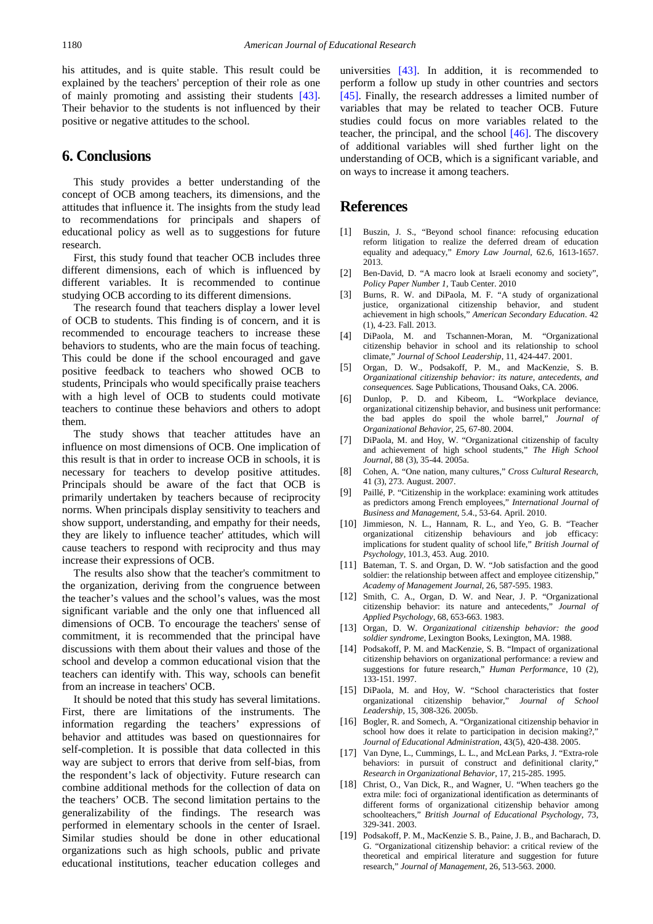his attitudes, and is quite stable. This result could be explained by the teachers' perception of their role as one of mainly promoting and assisting their students [\[43\].](#page-6-17) Their behavior to the students is not influenced by their positive or negative attitudes to the school.

## **6. Conclusions**

This study provides a better understanding of the concept of OCB among teachers, its dimensions, and the attitudes that influence it. The insights from the study lead to recommendations for principals and shapers of educational policy as well as to suggestions for future research.

First, this study found that teacher OCB includes three different dimensions, each of which is influenced by different variables. It is recommended to continue studying OCB according to its different dimensions.

The research found that teachers display a lower level of OCB to students. This finding is of concern, and it is recommended to encourage teachers to increase these behaviors to students, who are the main focus of teaching. This could be done if the school encouraged and gave positive feedback to teachers who showed OCB to students, Principals who would specifically praise teachers with a high level of OCB to students could motivate teachers to continue these behaviors and others to adopt them.

The study shows that teacher attitudes have an influence on most dimensions of OCB. One implication of this result is that in order to increase OCB in schools, it is necessary for teachers to develop positive attitudes. Principals should be aware of the fact that OCB is primarily undertaken by teachers because of reciprocity norms. When principals display sensitivity to teachers and show support, understanding, and empathy for their needs, they are likely to influence teacher' attitudes, which will cause teachers to respond with reciprocity and thus may increase their expressions of OCB.

The results also show that the teacher's commitment to the organization, deriving from the congruence between the teacher's values and the school's values, was the most significant variable and the only one that influenced all dimensions of OCB. To encourage the teachers' sense of commitment, it is recommended that the principal have discussions with them about their values and those of the school and develop a common educational vision that the teachers can identify with. This way, schools can benefit from an increase in teachers' OCB.

It should be noted that this study has several limitations. First, there are limitations of the instruments. The information regarding the teachers' expressions of behavior and attitudes was based on questionnaires for self-completion. It is possible that data collected in this way are subject to errors that derive from self-bias, from the respondent's lack of objectivity. Future research can combine additional methods for the collection of data on the teachers' OCB. The second limitation pertains to the generalizability of the findings. The research was performed in elementary schools in the center of Israel. Similar studies should be done in other educational organizations such as high schools, public and private educational institutions, teacher education colleges and universities [\[43\].](#page-6-17) In addition, it is recommended to perform a follow up study in other countries and sectors [\[45\].](#page-6-18) Finally, the research addresses a limited number of variables that may be related to teacher OCB. Future studies could focus on more variables related to the teacher, the principal, and the school [\[46\].](#page-6-19) The discovery of additional variables will shed further light on the understanding of OCB, which is a significant variable, and on ways to increase it among teachers.

## **References**

- <span id="page-5-0"></span>[1] Buszin, J. S., "Beyond school finance: refocusing education reform litigation to realize the deferred dream of education equality and adequacy," *Emory Law Journal,* 62.6, 1613-1657. 2013.
- [2] Ben-David, D. "A macro look at Israeli economy and society", *Policy Paper Number 1*, Taub Center. 2010
- <span id="page-5-1"></span>[3] Burns, R. W. and DiPaola, M. F. "A study of organizational justice, organizational citizenship behavior, and student achievement in high schools," *American Secondary Education*. 42 (1), 4-23. Fall. 2013.
- [4] DiPaola, M. and Tschannen-Moran, M. "Organizational citizenship behavior in school and its relationship to school climate," *Journal of School Leadership*, 11, 424-447. 2001.
- <span id="page-5-2"></span>[5] Organ, D. W., Podsakoff, P. M., and MacKenzie, S. B. *Organizational citizenship behavior: its nature, antecedents, and consequences.* Sage Publications, Thousand Oaks, CA. 2006.
- [6] Dunlop, P. D. and Kibeom, L. "Workplace deviance, organizational citizenship behavior, and business unit performance: the bad apples do spoil the whole barrel," *Journal of Organizational Behavior,* 25, 67-80. 2004.
- [7] DiPaola, M. and Hoy, W. "Organizational citizenship of faculty and achievement of high school students," *The High School Journal*, 88 (3), 35-44. 2005a.
- <span id="page-5-3"></span>[8] Cohen, A. "One nation, many cultures," *Cross Cultural Research*, 41 (3), 273. August. 2007.
- [9] Paillé, P. "Citizenship in the workplace: examining work attitudes as predictors among French employees," *International Journal of Business and Management,* 5.4., 53-64. April. 2010.
- <span id="page-5-4"></span>[10] Jimmieson, N. L., Hannam, R. L., and Yeo, G. B. "Teacher organizational citizenship behaviours and job efficacy: implications for student quality of school life," *British Journal of Psychology,* 101.3, 453. Aug. 2010.
- <span id="page-5-5"></span>[11] Bateman, T. S. and Organ, D. W. "Job satisfaction and the good soldier: the relationship between affect and employee citizenship," *Academy of Management Journal*, 26, 587-595. 1983.
- <span id="page-5-12"></span>[12] Smith, C. A., Organ, D. W. and Near, J. P. "Organizational citizenship behavior: its nature and antecedents," *Journal of Applied Psychology*, 68, 653-663. 1983.
- <span id="page-5-10"></span>[13] Organ, D. W. *Organizational citizenship behavior: the good soldier syndrome*, Lexington Books, Lexington, MA. 1988.
- <span id="page-5-6"></span>[14] Podsakoff, P. M. and MacKenzie, S. B. "Impact of organizational citizenship behaviors on organizational performance: a review and suggestions for future research," *Human Performance*, 10 (2), 133-151. 1997.
- <span id="page-5-7"></span>[15] DiPaola, M. and Hoy, W. "School characteristics that foster organizational citizenship behavior," *Journal of School Leadership*, 15, 308-326. 2005b.
- <span id="page-5-9"></span>[16] Bogler, R. and Somech, A. "Organizational citizenship behavior in school how does it relate to participation in decision making?, *Journal of Educational Administration*, 43(5), 420-438. 2005.
- [17] Van Dyne, L., Cummings, L. L., and McLean Parks, J. "Extra-role behaviors: in pursuit of construct and definitional clarity, *Research in Organizational Behavior*, 17, 215-285. 1995.
- <span id="page-5-8"></span>[18] Christ, O., Van Dick, R., and Wagner, U. "When teachers go the extra mile: foci of organizational identification as determinants of different forms of organizational citizenship behavior among schoolteachers," *British Journal of Educational Psychology*, 73, 329-341. 2003.
- <span id="page-5-11"></span>[19] Podsakoff, P. M., MacKenzie S. B., Paine, J. B., and Bacharach, D. G. "Organizational citizenship behavior: a critical review of the theoretical and empirical literature and suggestion for future research," *Journal of Management*, 26, 513-563. 2000.